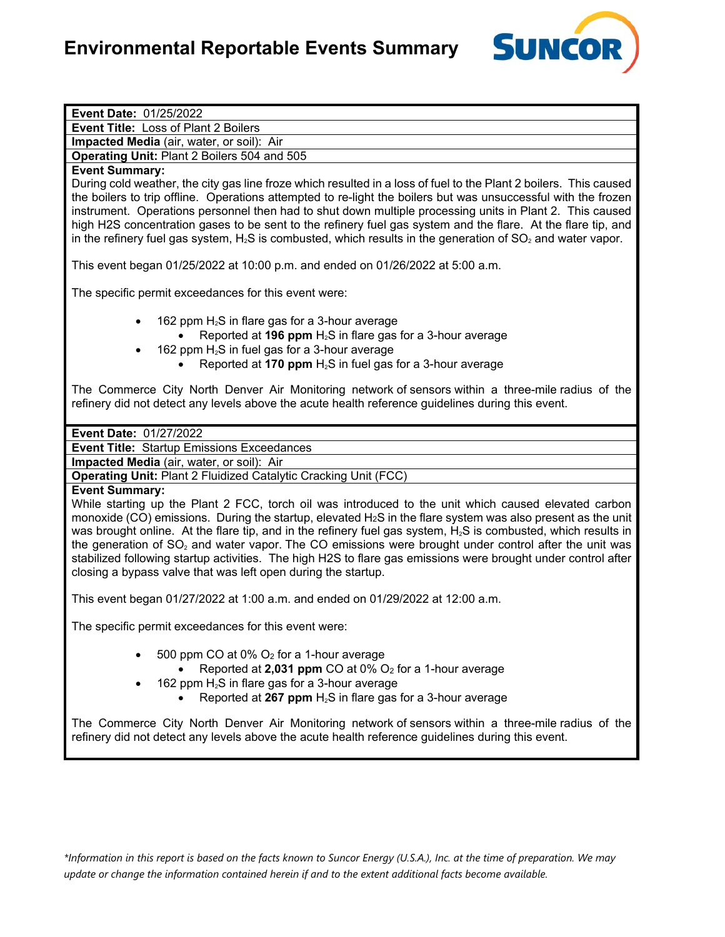

| Event Date: 01/25/2022                                                                                                  |
|-------------------------------------------------------------------------------------------------------------------------|
| <b>Event Title: Loss of Plant 2 Boilers</b>                                                                             |
| Impacted Media (air, water, or soil): Air                                                                               |
| Operating Unit: Plant 2 Boilers 504 and 505                                                                             |
| <b>Event Summary:</b>                                                                                                   |
| During cold weather, the city gas line froze which resulted in a loss of fuel to the Plant 2 boilers. This caused       |
| the boilers to trip offline. Operations attempted to re-light the boilers but was unsuccessful with the frozen          |
| instrument. Operations personnel then had to shut down multiple processing units in Plant 2. This caused                |
| high H2S concentration gases to be sent to the refinery fuel gas system and the flare. At the flare tip, and            |
| in the refinery fuel gas system, $H_2S$ is combusted, which results in the generation of $SO_2$ and water vapor.        |
|                                                                                                                         |
| This event began 01/25/2022 at 10:00 p.m. and ended on 01/26/2022 at 5:00 a.m.                                          |
| The specific permit exceedances for this event were:                                                                    |
| 162 ppm $H_2S$ in flare gas for a 3-hour average                                                                        |
| Reported at 196 ppm $H_2S$ in flare gas for a 3-hour average                                                            |
| 162 ppm H <sub>2</sub> S in fuel gas for a 3-hour average                                                               |
| Reported at 170 ppm $H_2S$ in fuel gas for a 3-hour average                                                             |
|                                                                                                                         |
| The Commerce City North Denver Air Monitoring network of sensors within a three-mile radius of the                      |
| refinery did not detect any levels above the acute health reference guidelines during this event.                       |
|                                                                                                                         |
| Event Date: 01/27/2022                                                                                                  |
| <b>Event Title: Startup Emissions Exceedances</b>                                                                       |
| Impacted Media (air, water, or soil): Air                                                                               |
| Operating Unit: Plant 2 Fluidized Catalytic Cracking Unit (FCC)                                                         |
| <b>Event Summary:</b>                                                                                                   |
| While starting up the Plant 2 FCC, torch oil was introduced to the unit which caused elevated carbon                    |
| monoxide (CO) emissions. During the startup, elevated H <sub>2</sub> S in the flare system was also present as the unit |
| was brought online. At the flare tip, and in the refinery fuel gas system, $H_2S$ is combusted, which results in        |
| the generation of $SO2$ and water vapor. The CO emissions were brought under control after the unit was                 |
| stabilized following startup activities. The high H2S to flare gas emissions were brought under control after           |
| closing a bypass valve that was left open during the startup.                                                           |
|                                                                                                                         |
| This event began 01/27/2022 at 1:00 a.m. and ended on 01/29/2022 at 12:00 a.m.                                          |
| The specific permit exceedances for this event were:                                                                    |
| 500 ppm CO at 0% O <sub>2</sub> for a 1-hour average                                                                    |
| Reported at 2,031 ppm CO at 0% O <sub>2</sub> for a 1-hour average                                                      |
| 162 ppm $H_2S$ in flare gas for a 3-hour average                                                                        |
| Reported at 267 ppm $H_2S$ in flare gas for a 3-hour average                                                            |
|                                                                                                                         |
| The Commerce City North Denver Air Monitoring network of sensors within a three-mile radius of the                      |
| refinery did not detect any levels above the acute health reference guidelines during this event.                       |
|                                                                                                                         |
|                                                                                                                         |
|                                                                                                                         |
|                                                                                                                         |

*\*Information in this report is based on the facts known to Suncor Energy (U.S.A.), Inc. at the time of preparation. We may update or change the information contained herein if and to the extent additional facts become available.*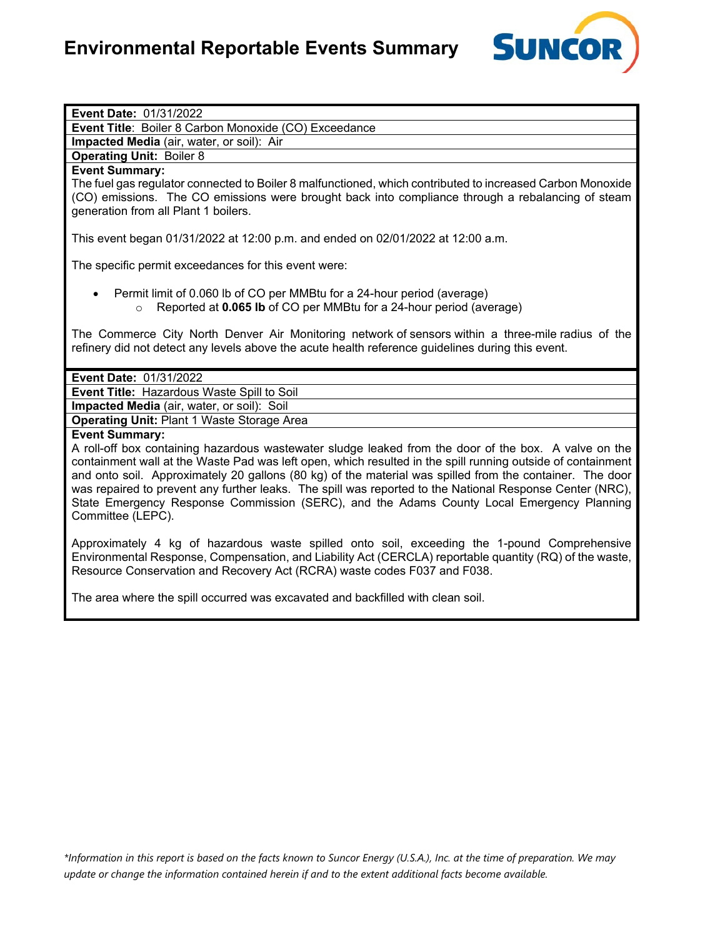

| Event Date: 01/31/2022                                                                                                                                                                                                                                                                                                                                                                                                                                                                                                                                                                  |
|-----------------------------------------------------------------------------------------------------------------------------------------------------------------------------------------------------------------------------------------------------------------------------------------------------------------------------------------------------------------------------------------------------------------------------------------------------------------------------------------------------------------------------------------------------------------------------------------|
| Event Title: Boiler 8 Carbon Monoxide (CO) Exceedance                                                                                                                                                                                                                                                                                                                                                                                                                                                                                                                                   |
| Impacted Media (air, water, or soil): Air                                                                                                                                                                                                                                                                                                                                                                                                                                                                                                                                               |
| <b>Operating Unit: Boiler 8</b>                                                                                                                                                                                                                                                                                                                                                                                                                                                                                                                                                         |
| <b>Event Summary:</b>                                                                                                                                                                                                                                                                                                                                                                                                                                                                                                                                                                   |
| The fuel gas regulator connected to Boiler 8 malfunctioned, which contributed to increased Carbon Monoxide<br>(CO) emissions. The CO emissions were brought back into compliance through a rebalancing of steam<br>generation from all Plant 1 boilers.                                                                                                                                                                                                                                                                                                                                 |
| This event began 01/31/2022 at 12:00 p.m. and ended on 02/01/2022 at 12:00 a.m.                                                                                                                                                                                                                                                                                                                                                                                                                                                                                                         |
| The specific permit exceedances for this event were:                                                                                                                                                                                                                                                                                                                                                                                                                                                                                                                                    |
| Permit limit of 0.060 lb of CO per MMBtu for a 24-hour period (average)<br>Reported at 0.065 lb of CO per MMBtu for a 24-hour period (average)<br>$\circ$                                                                                                                                                                                                                                                                                                                                                                                                                               |
| The Commerce City North Denver Air Monitoring network of sensors within a three-mile radius of the<br>refinery did not detect any levels above the acute health reference guidelines during this event.                                                                                                                                                                                                                                                                                                                                                                                 |
| Event Date: 01/31/2022                                                                                                                                                                                                                                                                                                                                                                                                                                                                                                                                                                  |
| Event Title: Hazardous Waste Spill to Soil                                                                                                                                                                                                                                                                                                                                                                                                                                                                                                                                              |
| Impacted Media (air, water, or soil): Soil                                                                                                                                                                                                                                                                                                                                                                                                                                                                                                                                              |
| <b>Operating Unit: Plant 1 Waste Storage Area</b>                                                                                                                                                                                                                                                                                                                                                                                                                                                                                                                                       |
| <b>Event Summary:</b><br>A roll-off box containing hazardous wastewater sludge leaked from the door of the box. A valve on the<br>containment wall at the Waste Pad was left open, which resulted in the spill running outside of containment<br>and onto soil. Approximately 20 gallons (80 kg) of the material was spilled from the container. The door<br>was repaired to prevent any further leaks. The spill was reported to the National Response Center (NRC),<br>State Emergency Response Commission (SERC), and the Adams County Local Emergency Planning<br>Committee (LEPC). |
| Approximately 4 kg of hazardous waste spilled onto soil, exceeding the 1-pound Comprehensive<br>Environmental Response, Compensation, and Liability Act (CERCLA) reportable quantity (RQ) of the waste,<br>Resource Conservation and Recovery Act (RCRA) waste codes F037 and F038.                                                                                                                                                                                                                                                                                                     |
| The area where the spill occurred was excavated and backfilled with clean soil.                                                                                                                                                                                                                                                                                                                                                                                                                                                                                                         |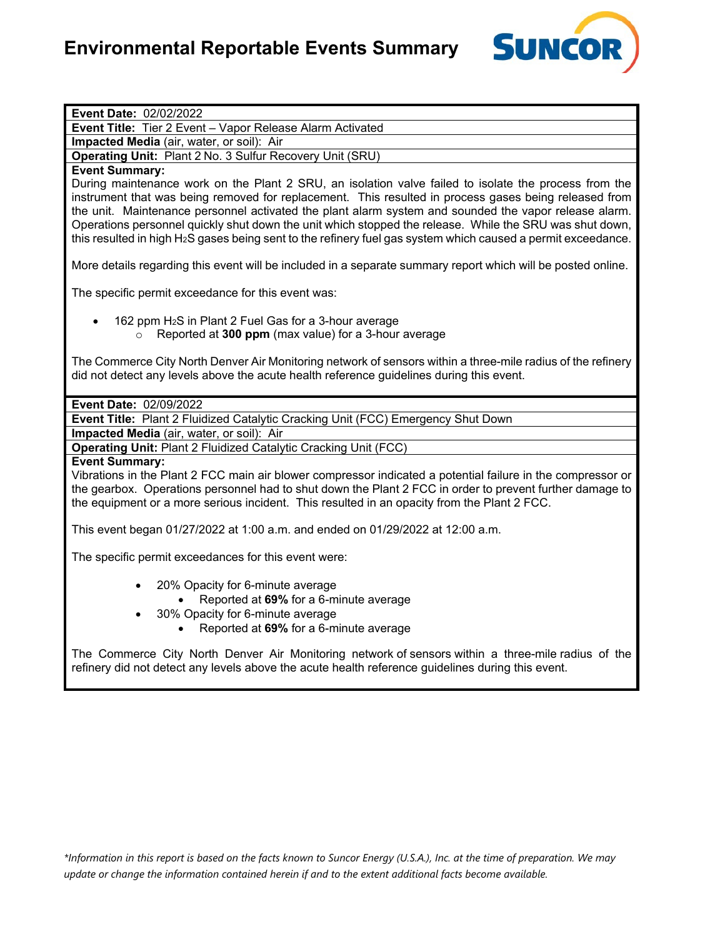

| Event Date: 02/02/2022                                                                                                                                                                                                                                                                                                                                                                                                                                                                                                                                |
|-------------------------------------------------------------------------------------------------------------------------------------------------------------------------------------------------------------------------------------------------------------------------------------------------------------------------------------------------------------------------------------------------------------------------------------------------------------------------------------------------------------------------------------------------------|
| Event Title: Tier 2 Event - Vapor Release Alarm Activated                                                                                                                                                                                                                                                                                                                                                                                                                                                                                             |
| Impacted Media (air, water, or soil): Air                                                                                                                                                                                                                                                                                                                                                                                                                                                                                                             |
| Operating Unit: Plant 2 No. 3 Sulfur Recovery Unit (SRU)                                                                                                                                                                                                                                                                                                                                                                                                                                                                                              |
| <b>Event Summary:</b>                                                                                                                                                                                                                                                                                                                                                                                                                                                                                                                                 |
| During maintenance work on the Plant 2 SRU, an isolation valve failed to isolate the process from the<br>instrument that was being removed for replacement. This resulted in process gases being released from<br>the unit. Maintenance personnel activated the plant alarm system and sounded the vapor release alarm.<br>Operations personnel quickly shut down the unit which stopped the release. While the SRU was shut down,<br>this resulted in high $H_2S$ gases being sent to the refinery fuel gas system which caused a permit exceedance. |
| More details regarding this event will be included in a separate summary report which will be posted online.                                                                                                                                                                                                                                                                                                                                                                                                                                          |
| The specific permit exceedance for this event was:                                                                                                                                                                                                                                                                                                                                                                                                                                                                                                    |
| 162 ppm H <sub>2</sub> S in Plant 2 Fuel Gas for a 3-hour average<br>Reported at 300 ppm (max value) for a 3-hour average<br>$\circ$                                                                                                                                                                                                                                                                                                                                                                                                                  |
| The Commerce City North Denver Air Monitoring network of sensors within a three-mile radius of the refinery<br>did not detect any levels above the acute health reference guidelines during this event.                                                                                                                                                                                                                                                                                                                                               |
| Event Date: 02/09/2022                                                                                                                                                                                                                                                                                                                                                                                                                                                                                                                                |
| Event Title: Plant 2 Fluidized Catalytic Cracking Unit (FCC) Emergency Shut Down                                                                                                                                                                                                                                                                                                                                                                                                                                                                      |
| Impacted Media (air, water, or soil): Air                                                                                                                                                                                                                                                                                                                                                                                                                                                                                                             |
| <b>Operating Unit: Plant 2 Fluidized Catalytic Cracking Unit (FCC)</b>                                                                                                                                                                                                                                                                                                                                                                                                                                                                                |
| <b>Event Summary:</b>                                                                                                                                                                                                                                                                                                                                                                                                                                                                                                                                 |
| Vibrations in the Plant 2 FCC main air blower compressor indicated a potential failure in the compressor or<br>the gearbox. Operations personnel had to shut down the Plant 2 FCC in order to prevent further damage to<br>the equipment or a more serious incident. This resulted in an opacity from the Plant 2 FCC.                                                                                                                                                                                                                                |
| This event began 01/27/2022 at 1:00 a.m. and ended on 01/29/2022 at 12:00 a.m.                                                                                                                                                                                                                                                                                                                                                                                                                                                                        |
| The specific permit exceedances for this event were:                                                                                                                                                                                                                                                                                                                                                                                                                                                                                                  |
| 20% Opacity for 6-minute average<br>$\bullet$                                                                                                                                                                                                                                                                                                                                                                                                                                                                                                         |
| Reported at 69% for a 6-minute average                                                                                                                                                                                                                                                                                                                                                                                                                                                                                                                |
| 30% Opacity for 6-minute average                                                                                                                                                                                                                                                                                                                                                                                                                                                                                                                      |
| Reported at 69% for a 6-minute average                                                                                                                                                                                                                                                                                                                                                                                                                                                                                                                |
| The Commerce City North Denver Air Monitoring network of sensors within a three-mile radius of the<br>refinery did not detect any levels above the acute health reference guidelines during this event.                                                                                                                                                                                                                                                                                                                                               |